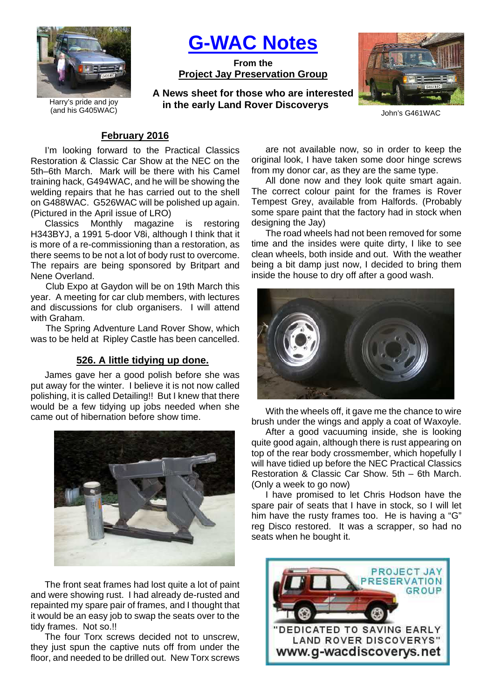

Harry's pride and joy (and his G405WAC)

# **G-WAC Notes**

**From the Project Jay Preservation Group**

**A News sheet for those who are interested in the early Land Rover Discoverys**



John's G461WAC

#### **February 2016**

I'm looking forward to the Practical Classics Restoration & Classic Car Show at the NEC on the 5th–6th March. Mark will be there with his Camel training hack, G494WAC, and he will be showing the welding repairs that he has carried out to the shell on G488WAC. G526WAC will be polished up again. (Pictured in the April issue of LRO)

Classics Monthly magazine is restoring H343BYJ, a 1991 5-door V8i, although I think that it is more of a re-commissioning than a restoration, as there seems to be not a lot of body rust to overcome. The repairs are being sponsored by Britpart and Nene Overland.

Club Expo at Gaydon will be on 19th March this year. A meeting for car club members, with lectures and discussions for club organisers. I will attend with Graham.

The Spring Adventure Land Rover Show, which was to be held at Ripley Castle has been cancelled.

## **526. A little tidying up done.**

James gave her a good polish before she was put away for the winter. I believe it is not now called polishing, it is called Detailing!! But I knew that there would be a few tidying up jobs needed when she came out of hibernation before show time.



The front seat frames had lost quite a lot of paint and were showing rust. I had already de-rusted and repainted my spare pair of frames, and I thought that it would be an easy job to swap the seats over to the tidy frames. Not so.!!

The four Torx screws decided not to unscrew, they just spun the captive nuts off from under the floor, and needed to be drilled out. New Torx screws

are not available now, so in order to keep the original look, I have taken some door hinge screws from my donor car, as they are the same type.

All done now and they look quite smart again. The correct colour paint for the frames is Rover Tempest Grey, available from Halfords. (Probably some spare paint that the factory had in stock when designing the Jay)

The road wheels had not been removed for some time and the insides were quite dirty, I like to see clean wheels, both inside and out. With the weather being a bit damp just now, I decided to bring them inside the house to dry off after a good wash.



With the wheels off, it gave me the chance to wire brush under the wings and apply a coat of Waxoyle.

After a good vacuuming inside, she is looking quite good again, although there is rust appearing on top of the rear body crossmember, which hopefully I will have tidied up before the NEC Practical Classics Restoration & Classic Car Show. 5th – 6th March. (Only a week to go now)

I have promised to let Chris Hodson have the spare pair of seats that I have in stock, so I will let him have the rusty frames too. He is having a "G" reg Disco restored. It was a scrapper, so had no seats when he bought it.

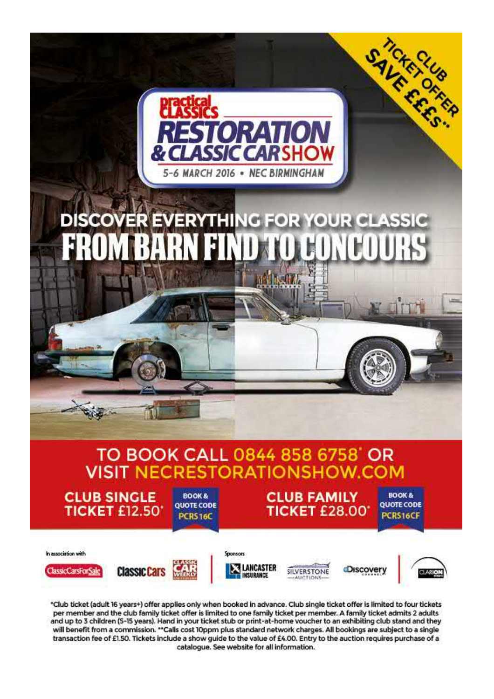

\*Club ticket (adult 16 years+) offer applies only when booked in advance. Club single ticket offer is limited to four tickets per member and the club family ticket offer is limited to one family ticket per member. A family ticket admits 2 adults and up to 3 children (5-15 years). Hand in your ticket stub or print-at-home voucher to an exhibiting club stand and they will benefit from a commission. "Calls cost 10ppm plus standard network charges. All bookings are subject to a single transaction fee of £1.50. Tickets include a show guide to the value of £4.00. Entry to the auction requires purchase of a catalogue. See website for all information.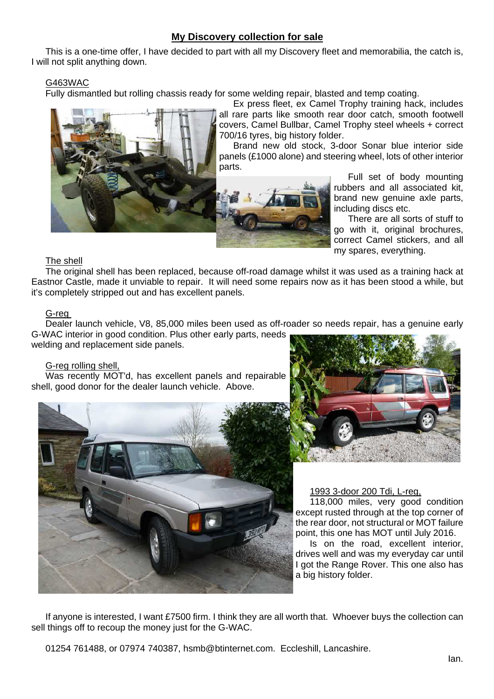## **My Discovery collection for sale**

This is a one-time offer, I have decided to part with all my Discovery fleet and memorabilia, the catch is, I will not split anything down.

## G463WAC

Fully dismantled but rolling chassis ready for some welding repair, blasted and temp coating.



Ex press fleet, ex Camel Trophy training hack, includes all rare parts like smooth rear door catch, smooth footwell covers, Camel Bullbar, Camel Trophy steel wheels + correct 700/16 tyres, big history folder.

Brand new old stock, 3-door Sonar blue interior side panels (£1000 alone) and steering wheel, lots of other interior parts.



Full set of body mounting rubbers and all associated kit, brand new genuine axle parts, including discs etc.

There are all sorts of stuff to go with it, original brochures, correct Camel stickers, and all my spares, everything.

## The shell

The original shell has been replaced, because off-road damage whilst it was used as a training hack at Eastnor Castle, made it unviable to repair. It will need some repairs now as it has been stood a while, but it's completely stripped out and has excellent panels.

## G-reg

Dealer launch vehicle, V8, 85,000 miles been used as off-roader so needs repair, has a genuine early G-WAC interior in good condition. Plus other early parts, needs

welding and replacement side panels.

## G-reg rolling shell,

Was recently MOT'd, has excellent panels and repairable shell, good donor for the dealer launch vehicle. Above.





1993 3-door 200 Tdi, L-reg,

118,000 miles, very good condition except rusted through at the top corner of the rear door, not structural or MOT failure point, this one has MOT until July 2016.

Is on the road, excellent interior, drives well and was my everyday car until I got the Range Rover. This one also has a big history folder.

If anyone is interested, I want £7500 firm. I think they are all worth that. Whoever buys the collection can sell things off to recoup the money just for the G-WAC.

01254 761488, or 07974 740387, hsmb@btinternet.com. Eccleshill, Lancashire.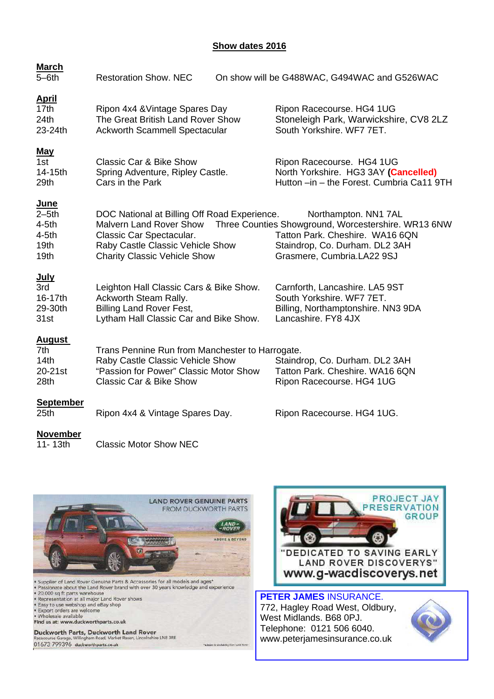#### **Show dates 2016**

| <b>March</b>                                                                         |                                                                                                                                                                                       |                                                                                                                                                                                |
|--------------------------------------------------------------------------------------|---------------------------------------------------------------------------------------------------------------------------------------------------------------------------------------|--------------------------------------------------------------------------------------------------------------------------------------------------------------------------------|
| $5 - 6$ th                                                                           | <b>Restoration Show, NEC</b>                                                                                                                                                          | On show will be G488WAC, G494WAC and G526WAC                                                                                                                                   |
| <u>April</u><br>17 <sub>th</sub><br>24th<br>23-24th                                  | Ripon 4x4 & Vintage Spares Day<br>The Great British Land Rover Show<br><b>Ackworth Scammell Spectacular</b>                                                                           | Ripon Racecourse. HG4 1UG<br>Stoneleigh Park, Warwickshire, CV8 2LZ<br>South Yorkshire, WF7 7ET.                                                                               |
| <u>May</u><br>1st<br>14-15th<br>29th                                                 | <b>Classic Car &amp; Bike Show</b><br>Spring Adventure, Ripley Castle.<br>Cars in the Park                                                                                            | Ripon Racecourse. HG4 1UG<br>North Yorkshire. HG3 3AY (Cancelled)<br>Hutton -in - the Forest. Cumbria Ca11 9TH                                                                 |
| <u>June</u><br>$2-5th$<br>$4-5th$<br>$4-5th$<br>19 <sub>th</sub><br>19 <sub>th</sub> | DOC National at Billing Off Road Experience.<br><b>Malvern Land Rover Show</b><br>Classic Car Spectacular.<br>Raby Castle Classic Vehicle Show<br><b>Charity Classic Vehicle Show</b> | Northampton. NN1 7AL<br>Three Counties Showground, Worcestershire. WR13 6NW<br>Tatton Park. Cheshire. WA16 6QN<br>Staindrop, Co. Durham. DL2 3AH<br>Grasmere, Cumbria.LA22 9SJ |
| <u>July</u><br>3rd<br>16-17th<br>29-30th<br>31st                                     | Leighton Hall Classic Cars & Bike Show.<br>Ackworth Steam Rally.<br><b>Billing Land Rover Fest,</b><br>Lytham Hall Classic Car and Bike Show.                                         | Carnforth, Lancashire. LA5 9ST<br>South Yorkshire. WF7 7ET.<br>Billing, Northamptonshire. NN3 9DA<br>Lancashire. FY8 4JX                                                       |
| <u>August</u><br>7th<br>14 <sub>th</sub><br>20-21st<br>28th                          | Trans Pennine Run from Manchester to Harrogate.<br>Raby Castle Classic Vehicle Show<br>"Passion for Power" Classic Motor Show<br><b>Classic Car &amp; Bike Show</b>                   | Staindrop, Co. Durham. DL2 3AH<br>Tatton Park. Cheshire. WA16 6QN<br>Ripon Racecourse. HG4 1UG                                                                                 |
| <b>September</b><br>25 <sub>th</sub>                                                 | Ripon 4x4 & Vintage Spares Day.                                                                                                                                                       | Ripon Racecourse. HG4 1UG.                                                                                                                                                     |
| <b>November</b>                                                                      |                                                                                                                                                                                       |                                                                                                                                                                                |

11-13th Classic Motor Show NEC





**PETER JAMES** INSURANCE. 772, Hagley Road West, Oldbury, West Midlands. B68 0PJ. Telephone: 0121 506 6040. www.peterjamesinsurance.co.uk

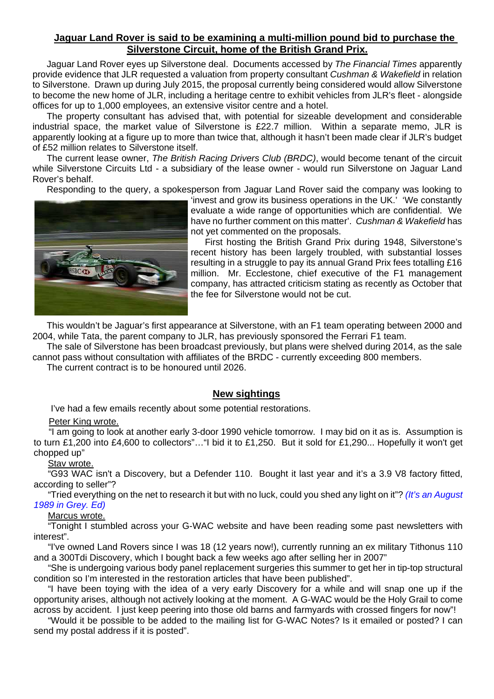## **Jaguar Land Rover is said to be examining a multi-million pound bid to purchase the Silverstone Circuit, home of the British Grand Prix.**

Jaguar Land Rover eyes up Silverstone deal. Documents accessed by The Financial Times apparently provide evidence that JLR requested a valuation from property consultant Cushman & Wakefield in relation to Silverstone. Drawn up during July 2015, the proposal currently being considered would allow Silverstone to become the new home of JLR, including a heritage centre to exhibit vehicles from JLR's fleet - alongside offices for up to 1,000 employees, an extensive visitor centre and a hotel.

The property consultant has advised that, with potential for sizeable development and considerable industrial space, the market value of Silverstone is £22.7 million. Within a separate memo, JLR is apparently looking at a figure up to more than twice that, although it hasn't been made clear if JLR's budget of £52 million relates to Silverstone itself.

The current lease owner, The British Racing Drivers Club (BRDC), would become tenant of the circuit while Silverstone Circuits Ltd - a subsidiary of the lease owner - would run Silverstone on Jaguar Land Rover's behalf.

Responding to the query, a spokesperson from Jaguar Land Rover said the company was looking to



'invest and grow its business operations in the UK.' 'We constantly evaluate a wide range of opportunities which are confidential. We have no further comment on this matter'. Cushman & Wakefield has not yet commented on the proposals.

First hosting the British Grand Prix during 1948, Silverstone's recent history has been largely troubled, with substantial losses resulting in a struggle to pay its annual Grand Prix fees totalling £16 million. Mr. Ecclestone, chief executive of the F1 management company, has attracted criticism stating as recently as October that the fee for Silverstone would not be cut.

This wouldn't be Jaguar's first appearance at Silverstone, with an F1 team operating between 2000 and 2004, while Tata, the parent company to JLR, has previously sponsored the Ferrari F1 team.

The sale of Silverstone has been broadcast previously, but plans were shelved during 2014, as the sale cannot pass without consultation with affiliates of the BRDC - currently exceeding 800 members.

The current contract is to be honoured until 2026.

## **New sightings**

I've had a few emails recently about some potential restorations.

#### Peter King wrote.

"I am going to look at another early 3-door 1990 vehicle tomorrow. I may bid on it as is. Assumption is to turn £1,200 into £4,600 to collectors"…"I bid it to £1,250. But it sold for £1,290... Hopefully it won't get chopped up"

# Stav wrote.

"G93 WAC isn't a Discovery, but a Defender 110. Bought it last year and it's a 3.9 V8 factory fitted, according to seller"?

"Tried everything on the net to research it but with no luck, could you shed any light on it"? (It's an August 1989 in Grey. Ed)

#### Marcus wrote.

"Tonight I stumbled across your G-WAC website and have been reading some past newsletters with interest".

"I've owned Land Rovers since I was 18 (12 years now!), currently running an ex military Tithonus 110 and a 300Tdi Discovery, which I bought back a few weeks ago after selling her in 2007"

"She is undergoing various body panel replacement surgeries this summer to get her in tip-top structural condition so I'm interested in the restoration articles that have been published".

"I have been toying with the idea of a very early Discovery for a while and will snap one up if the opportunity arises, although not actively looking at the moment. A G-WAC would be the Holy Grail to come across by accident. l just keep peering into those old barns and farmyards with crossed fingers for now"!

"Would it be possible to be added to the mailing list for G-WAC Notes? Is it emailed or posted? I can send my postal address if it is posted".